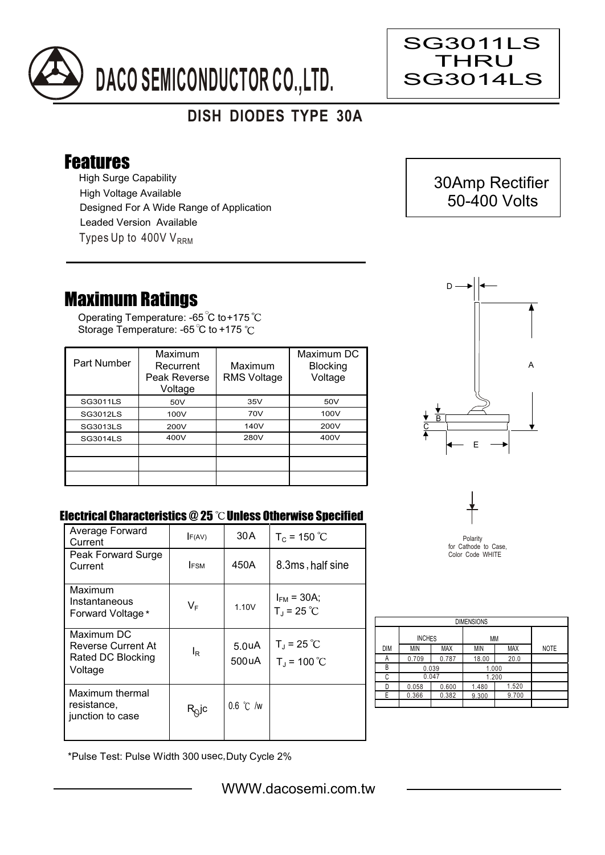

## **DISH DIODES TYPE 30A**

## Features

High Surge Capability Types Up to  $400VV<sub>RRM</sub>$ High Voltage Available Designed For A Wide Range of Application Leaded Version Available

## Maximum Ratings

Operating Temperature: -65 C to+175 Storage Temperature: -65 °C to +175 °C

| Part Number     | Maximum<br>Recurrent<br>Peak Reverse<br>Voltage | Maximum<br><b>RMS Voltage</b> | Maximum DC<br><b>Blocking</b><br>Voltage |
|-----------------|-------------------------------------------------|-------------------------------|------------------------------------------|
| SG3011LS        | 50V                                             | 35V                           | 50V                                      |
| SG3012LS        | 100V                                            | 70V                           | 100V                                     |
| <b>SG3013LS</b> | 200V                                            | 140V                          | 200V                                     |
| SG3014LS        | 400V                                            | 280V                          | 400V                                     |
|                 |                                                 |                               |                                          |
|                 |                                                 |                               |                                          |
|                 |                                                 |                               |                                          |



## Electrical Characteristics @ 25 °C Unless Otherwise Specified

| Average Forward<br>Current                                       | F(AV)                      | 30 A                        | $T_c = 150 °C$                              |
|------------------------------------------------------------------|----------------------------|-----------------------------|---------------------------------------------|
| Peak Forward Surge<br>Current                                    | <b>FSM</b>                 | 450A                        | 8.3ms, half sine                            |
| Maximum<br>Instantaneous<br>Forward Voltage*                     | $V_F$                      | 1.10V                       | $I_{FM}$ = 30A;<br>$T_J = 25 °C$            |
| Maximum DC<br>Reverse Current At<br>Rated DC Blocking<br>Voltage | l <sub>R</sub>             | 5.0 <sub>u</sub> A<br>500uA | $T_{\rm J}$ = 25 °C<br>$T_{\rm J}$ = 100 °C |
| Maximum thermal<br>resistance,<br>junction to case               | $R_{\tiny{\textrm{Q}}}$ jc | $0.6$ °C /w                 |                                             |



| <b>DIMENSIONS</b> |               |            |            |            |             |  |  |  |  |
|-------------------|---------------|------------|------------|------------|-------------|--|--|--|--|
|                   | <b>INCHES</b> |            | МM         |            |             |  |  |  |  |
| <b>DIM</b>        | <b>MIN</b>    | <b>MAX</b> | <b>MIN</b> | <b>MAX</b> | <b>NOTE</b> |  |  |  |  |
| А                 | 0.709         | 0.787      | 18.00      | 20.0       |             |  |  |  |  |
| В                 | 0.039         |            | 1.000      |            |             |  |  |  |  |
| C                 | 0.047         |            | 1.200      |            |             |  |  |  |  |
| n                 | 0.058         | 0.600      | 1.480      | 1.520      |             |  |  |  |  |
| F                 | 0.366         | 0.382      | 9.300      | 9.700      |             |  |  |  |  |
|                   |               |            |            |            |             |  |  |  |  |

\*Pulse Test: Pulse Width 300 usec,Duty Cycle 2%





Ξ